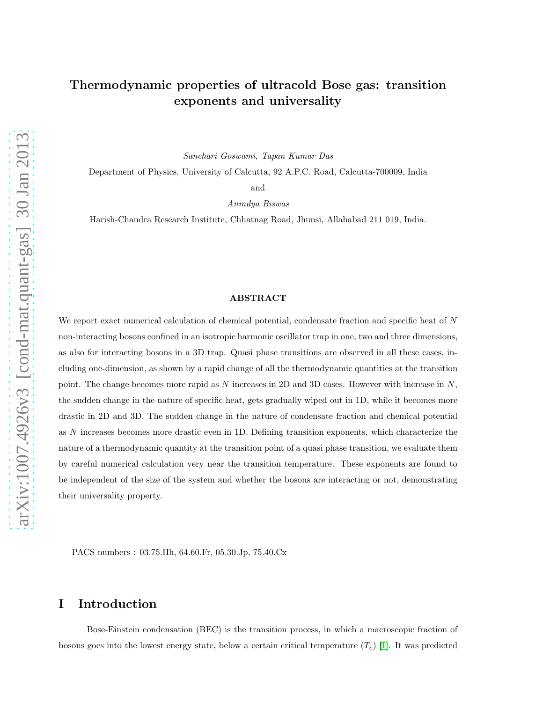# Thermodynamic properties of ultracold Bose gas: transition exponents and universality

Sanchari Goswami, Tapan Kumar Das

Department of Physics, University of Calcutta, 92 A.P.C. Road, Calcutta-700009, India

and

Anindya Biswas

Harish-Chandra Research Institute, Chhatnag Road, Jhunsi, Allahabad 211 019, India.

#### ABSTRACT

We report exact numerical calculation of chemical potential, condensate fraction and specific heat of N non-interacting bosons confined in an isotropic harmonic oscillator trap in one, two and three dimensions, as also for interacting bosons in a 3D trap. Quasi phase transitions are observed in all these cases, including one-dimension, as shown by a rapid change of all the thermodynamic quantities at the transition point. The change becomes more rapid as  $N$  increases in 2D and 3D cases. However with increase in  $N$ , the sudden change in the nature of specific heat, gets gradually wiped out in 1D, while it becomes more drastic in 2D and 3D. The sudden change in the nature of condensate fraction and chemical potential as N increases becomes more drastic even in 1D. Defining transition exponents, which characterize the nature of a thermodynamic quantity at the transition point of a quasi phase transition, we evaluate them by careful numerical calculation very near the transition temperature. These exponents are found to be independent of the size of the system and whether the bosons are interacting or not, demonstrating their universality property.

PACS numbers : 03.75.Hh, 64.60.Fr, 05.30.Jp, 75.40.Cx

## I Introduction

Bose-Einstein condensation (BEC) is the transition process, in which a macroscopic fraction of bosons goes into the lowest energy state, below a certain critical temperature  $(T_c)$  [\[1\]](#page-18-0). It was predicted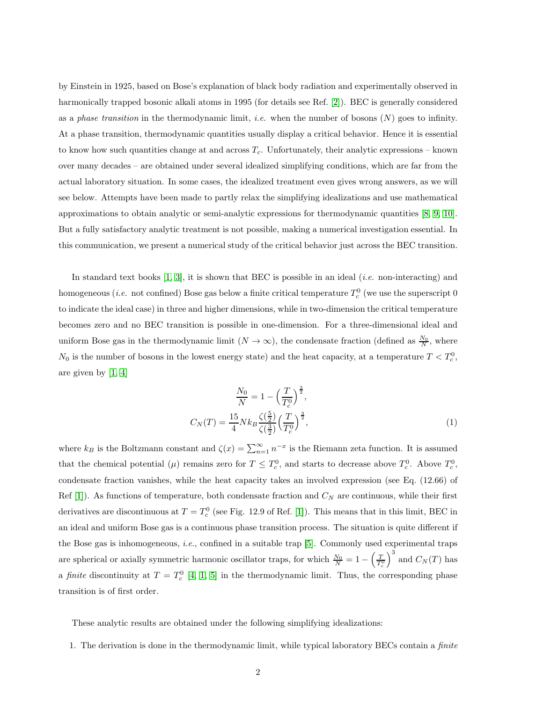by Einstein in 1925, based on Bose's explanation of black body radiation and experimentally observed in harmonically trapped bosonic alkali atoms in 1995 (for details see Ref. [\[2\]](#page-18-1)). BEC is generally considered as a phase transition in the thermodynamic limit, *i.e.* when the number of bosons  $(N)$  goes to infinity. At a phase transition, thermodynamic quantities usually display a critical behavior. Hence it is essential to know how such quantities change at and across  $T_c$ . Unfortunately, their analytic expressions – known over many decades – are obtained under several idealized simplifying conditions, which are far from the actual laboratory situation. In some cases, the idealized treatment even gives wrong answers, as we will see below. Attempts have been made to partly relax the simplifying idealizations and use mathematical approximations to obtain analytic or semi-analytic expressions for thermodynamic quantities [\[8,](#page-18-2) [9,](#page-18-3) [10\]](#page-18-4). But a fully satisfactory analytic treatment is not possible, making a numerical investigation essential. In this communication, we present a numerical study of the critical behavior just across the BEC transition.

In standard text books [\[1,](#page-18-0) [3\]](#page-18-5), it is shown that BEC is possible in an ideal (i.e. non-interacting) and homogeneous (*i.e.* not confined) Bose gas below a finite critical temperature  $T_c^0$  (we use the superscript  $0$ to indicate the ideal case) in three and higher dimensions, while in two-dimension the critical temperature becomes zero and no BEC transition is possible in one-dimension. For a three-dimensional ideal and uniform Bose gas in the thermodynamic limit  $(N \to \infty)$ , the condensate fraction (defined as  $\frac{N_0}{N}$ , where  $N_0$  is the number of bosons in the lowest energy state) and the heat capacity, at a temperature  $T < T_c^0$ , are given by [\[1,](#page-18-0) [4\]](#page-18-6)

$$
\frac{N_0}{N} = 1 - \left(\frac{T}{T_c^0}\right)^{\frac{3}{2}},
$$
  

$$
C_N(T) = \frac{15}{4} N k_B \frac{\zeta(\frac{5}{2})}{\zeta(\frac{3}{2})} \left(\frac{T}{T_c^0}\right)^{\frac{3}{2}},
$$
 (1)

where  $k_B$  is the Boltzmann constant and  $\zeta(x) = \sum_{n=1}^{\infty} n^{-x}$  is the Riemann zeta function. It is assumed that the chemical potential  $(\mu)$  remains zero for  $T \leq T_c^0$ , and starts to decrease above  $T_c^0$ . Above  $T_c^0$ , condensate fraction vanishes, while the heat capacity takes an involved expression (see Eq. (12.66) of Ref [\[1\]](#page-18-0)). As functions of temperature, both condensate fraction and  $C<sub>N</sub>$  are continuous, while their first derivatives are discontinuous at  $T = T_c^0$  (see Fig. 12.9 of Ref. [\[1\]](#page-18-0)). This means that in this limit, BEC in an ideal and uniform Bose gas is a continuous phase transition process. The situation is quite different if the Bose gas is inhomogeneous, i.e., confined in a suitable trap [\[5\]](#page-18-7). Commonly used experimental traps are spherical or axially symmetric harmonic oscillator traps, for which  $\frac{N_0}{N} = 1 - \left(\frac{T}{T_c^0}\right)^3$  and  $C_N(T)$  has a finite discontinuity at  $T = T_c^0$  [\[4,](#page-18-6) [1,](#page-18-0) [5\]](#page-18-7) in the thermodynamic limit. Thus, the corresponding phase transition is of first order.

These analytic results are obtained under the following simplifying idealizations:

1. The derivation is done in the thermodynamic limit, while typical laboratory BECs contain a finite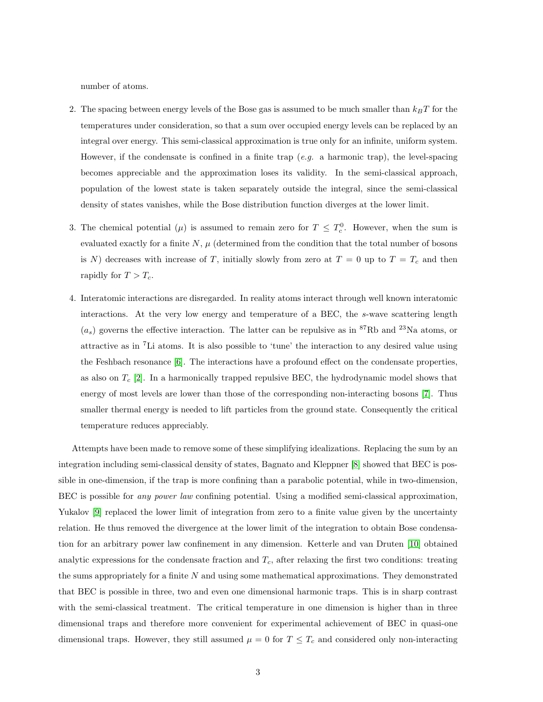number of atoms.

- 2. The spacing between energy levels of the Bose gas is assumed to be much smaller than  $k_BT$  for the temperatures under consideration, so that a sum over occupied energy levels can be replaced by an integral over energy. This semi-classical approximation is true only for an infinite, uniform system. However, if the condensate is confined in a finite trap  $(e.g.$  a harmonic trap), the level-spacing becomes appreciable and the approximation loses its validity. In the semi-classical approach, population of the lowest state is taken separately outside the integral, since the semi-classical density of states vanishes, while the Bose distribution function diverges at the lower limit.
- 3. The chemical potential  $(\mu)$  is assumed to remain zero for  $T \leq T_c^0$ . However, when the sum is evaluated exactly for a finite  $N, \mu$  (determined from the condition that the total number of bosons is N) decreases with increase of T, initially slowly from zero at  $T = 0$  up to  $T = T_c$  and then rapidly for  $T > T_c$ .
- 4. Interatomic interactions are disregarded. In reality atoms interact through well known interatomic interactions. At the very low energy and temperature of a BEC, the s-wave scattering length  $(a_s)$  governs the effective interaction. The latter can be repulsive as in <sup>87</sup>Rb and <sup>23</sup>Na atoms, or attractive as in <sup>7</sup>Li atoms. It is also possible to 'tune' the interaction to any desired value using the Feshbach resonance [\[6\]](#page-18-8). The interactions have a profound effect on the condensate properties, as also on  $T_c$  [\[2\]](#page-18-1). In a harmonically trapped repulsive BEC, the hydrodynamic model shows that energy of most levels are lower than those of the corresponding non-interacting bosons [\[7\]](#page-18-9). Thus smaller thermal energy is needed to lift particles from the ground state. Consequently the critical temperature reduces appreciably.

Attempts have been made to remove some of these simplifying idealizations. Replacing the sum by an integration including semi-classical density of states, Bagnato and Kleppner [\[8\]](#page-18-2) showed that BEC is possible in one-dimension, if the trap is more confining than a parabolic potential, while in two-dimension, BEC is possible for any power law confining potential. Using a modified semi-classical approximation, Yukalov [\[9\]](#page-18-3) replaced the lower limit of integration from zero to a finite value given by the uncertainty relation. He thus removed the divergence at the lower limit of the integration to obtain Bose condensation for an arbitrary power law confinement in any dimension. Ketterle and van Druten [\[10\]](#page-18-4) obtained analytic expressions for the condensate fraction and  $T_c$ , after relaxing the first two conditions: treating the sums appropriately for a finite  $N$  and using some mathematical approximations. They demonstrated that BEC is possible in three, two and even one dimensional harmonic traps. This is in sharp contrast with the semi-classical treatment. The critical temperature in one dimension is higher than in three dimensional traps and therefore more convenient for experimental achievement of BEC in quasi-one dimensional traps. However, they still assumed  $\mu = 0$  for  $T \leq T_c$  and considered only non-interacting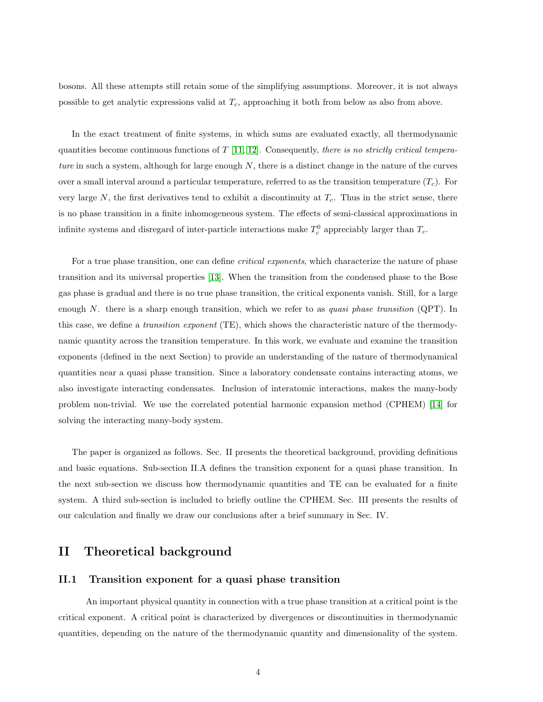bosons. All these attempts still retain some of the simplifying assumptions. Moreover, it is not always possible to get analytic expressions valid at  $T_c$ , approaching it both from below as also from above.

In the exact treatment of finite systems, in which sums are evaluated exactly, all thermodynamic quantities become continuous functions of  $T$  [\[11,](#page-18-10) [12\]](#page-18-11). Consequently, there is no strictly critical temperature in such a system, although for large enough  $N$ , there is a distinct change in the nature of the curves over a small interval around a particular temperature, referred to as the transition temperature  $(T_c)$ . For very large N, the first derivatives tend to exhibit a discontinuity at  $T_c$ . Thus in the strict sense, there is no phase transition in a finite inhomogeneous system. The effects of semi-classical approximations in infinite systems and disregard of inter-particle interactions make  $T_c^0$  appreciably larger than  $T_c$ .

For a true phase transition, one can define *critical exponents*, which characterize the nature of phase transition and its universal properties [\[13\]](#page-18-12). When the transition from the condensed phase to the Bose gas phase is gradual and there is no true phase transition, the critical exponents vanish. Still, for a large enough N. there is a sharp enough transition, which we refer to as *quasi phase transition* (QPT). In this case, we define a transition exponent (TE), which shows the characteristic nature of the thermodynamic quantity across the transition temperature. In this work, we evaluate and examine the transition exponents (defined in the next Section) to provide an understanding of the nature of thermodynamical quantities near a quasi phase transition. Since a laboratory condensate contains interacting atoms, we also investigate interacting condensates. Inclusion of interatomic interactions, makes the many-body problem non-trivial. We use the correlated potential harmonic expansion method (CPHEM) [\[14\]](#page-18-13) for solving the interacting many-body system.

The paper is organized as follows. Sec. II presents the theoretical background, providing definitions and basic equations. Sub-section II.A defines the transition exponent for a quasi phase transition. In the next sub-section we discuss how thermodynamic quantities and TE can be evaluated for a finite system. A third sub-section is included to briefly outline the CPHEM. Sec. III presents the results of our calculation and finally we draw our conclusions after a brief summary in Sec. IV.

## II Theoretical background

### II.1 Transition exponent for a quasi phase transition

An important physical quantity in connection with a true phase transition at a critical point is the critical exponent. A critical point is characterized by divergences or discontinuities in thermodynamic quantities, depending on the nature of the thermodynamic quantity and dimensionality of the system.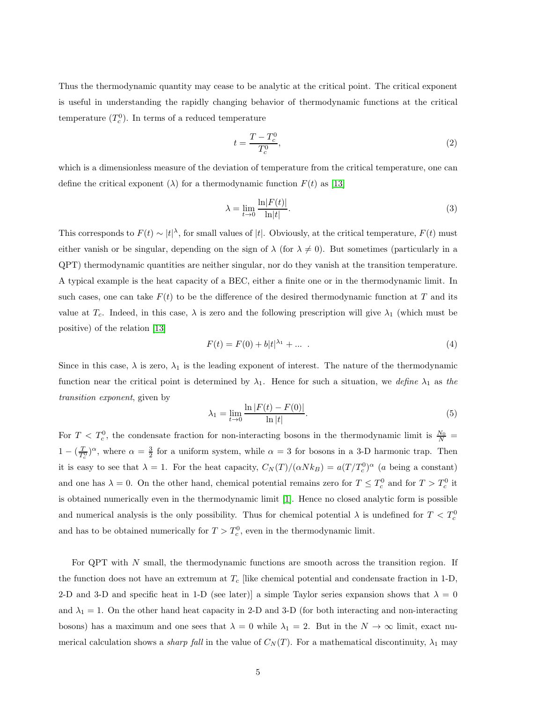Thus the thermodynamic quantity may cease to be analytic at the critical point. The critical exponent is useful in understanding the rapidly changing behavior of thermodynamic functions at the critical temperature  $(T_c^0)$ . In terms of a reduced temperature

$$
t = \frac{T - T_c^0}{T_c^0},\tag{2}
$$

which is a dimensionless measure of the deviation of temperature from the critical temperature, one can define the critical exponent  $(\lambda)$  for a thermodynamic function  $F(t)$  as [\[13\]](#page-18-12)

$$
\lambda = \lim_{t \to 0} \frac{\ln |F(t)|}{\ln |t|}.
$$
\n(3)

This corresponds to  $F(t) \sim |t|^{\lambda}$ , for small values of |t|. Obviously, at the critical temperature,  $F(t)$  must either vanish or be singular, depending on the sign of  $\lambda$  (for  $\lambda \neq 0$ ). But sometimes (particularly in a QPT) thermodynamic quantities are neither singular, nor do they vanish at the transition temperature. A typical example is the heat capacity of a BEC, either a finite one or in the thermodynamic limit. In such cases, one can take  $F(t)$  to be the difference of the desired thermodynamic function at T and its value at  $T_c$ . Indeed, in this case,  $\lambda$  is zero and the following prescription will give  $\lambda_1$  (which must be positive) of the relation [\[13\]](#page-18-12)

$$
F(t) = F(0) + b|t|^{\lambda_1} + \dots \tag{4}
$$

Since in this case,  $\lambda$  is zero,  $\lambda_1$  is the leading exponent of interest. The nature of the thermodynamic function near the critical point is determined by  $\lambda_1$ . Hence for such a situation, we define  $\lambda_1$  as the transition exponent, given by

<span id="page-4-0"></span>
$$
\lambda_1 = \lim_{t \to 0} \frac{\ln |F(t) - F(0)|}{\ln |t|}.
$$
\n(5)

For  $T < T_c^0$ , the condensate fraction for non-interacting bosons in the thermodynamic limit is  $\frac{N_0}{N}$  $1 - (\frac{T}{T_c^0})^{\alpha}$ , where  $\alpha = \frac{3}{2}$  for a uniform system, while  $\alpha = 3$  for bosons in a 3-D harmonic trap. Then it is easy to see that  $\lambda = 1$ . For the heat capacity,  $C_N(T)/(\alpha N k_B) = a(T/T_c^0)^\alpha$  (a being a constant) and one has  $\lambda = 0$ . On the other hand, chemical potential remains zero for  $T \le T_c^0$  and for  $T > T_c^0$  it is obtained numerically even in the thermodynamic limit [\[1\]](#page-18-0). Hence no closed analytic form is possible and numerical analysis is the only possibility. Thus for chemical potential  $\lambda$  is undefined for  $T < T_c^0$ and has to be obtained numerically for  $T > T_c^0$ , even in the thermodynamic limit.

For QPT with N small, the thermodynamic functions are smooth across the transition region. If the function does not have an extremum at  $T_c$  [like chemical potential and condensate fraction in 1-D, 2-D and 3-D and specific heat in 1-D (see later)] a simple Taylor series expansion shows that  $\lambda = 0$ and  $\lambda_1 = 1$ . On the other hand heat capacity in 2-D and 3-D (for both interacting and non-interacting bosons) has a maximum and one sees that  $\lambda = 0$  while  $\lambda_1 = 2$ . But in the  $N \to \infty$  limit, exact numerical calculation shows a *sharp fall* in the value of  $C<sub>N</sub>(T)$ . For a mathematical discontinuity,  $\lambda_1$  may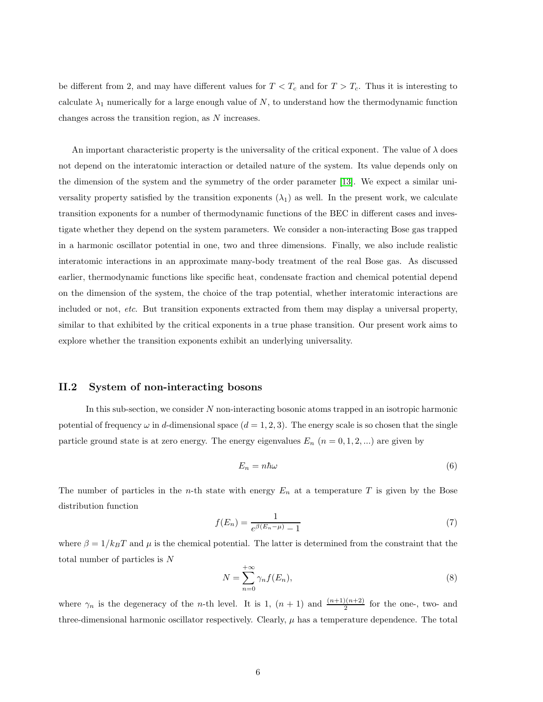be different from 2, and may have different values for  $T < T_c$  and for  $T > T_c$ . Thus it is interesting to calculate  $\lambda_1$  numerically for a large enough value of N, to understand how the thermodynamic function changes across the transition region, as N increases.

An important characteristic property is the universality of the critical exponent. The value of  $\lambda$  does not depend on the interatomic interaction or detailed nature of the system. Its value depends only on the dimension of the system and the symmetry of the order parameter [\[13\]](#page-18-12). We expect a similar universality property satisfied by the transition exponents  $(\lambda_1)$  as well. In the present work, we calculate transition exponents for a number of thermodynamic functions of the BEC in different cases and investigate whether they depend on the system parameters. We consider a non-interacting Bose gas trapped in a harmonic oscillator potential in one, two and three dimensions. Finally, we also include realistic interatomic interactions in an approximate many-body treatment of the real Bose gas. As discussed earlier, thermodynamic functions like specific heat, condensate fraction and chemical potential depend on the dimension of the system, the choice of the trap potential, whether interatomic interactions are included or not, etc. But transition exponents extracted from them may display a universal property, similar to that exhibited by the critical exponents in a true phase transition. Our present work aims to explore whether the transition exponents exhibit an underlying universality.

### II.2 System of non-interacting bosons

In this sub-section, we consider  $N$  non-interacting bosonic atoms trapped in an isotropic harmonic potential of frequency  $\omega$  in d-dimensional space  $(d = 1, 2, 3)$ . The energy scale is so chosen that the single particle ground state is at zero energy. The energy eigenvalues  $E_n$   $(n = 0, 1, 2, ...)$  are given by

$$
E_n = n\hbar\omega\tag{6}
$$

The number of particles in the *n*-th state with energy  $E_n$  at a temperature T is given by the Bose distribution function

<span id="page-5-0"></span>
$$
f(E_n) = \frac{1}{e^{\beta(E_n - \mu)} - 1} \tag{7}
$$

where  $\beta = 1/k_BT$  and  $\mu$  is the chemical potential. The latter is determined from the constraint that the total number of particles is N

<span id="page-5-1"></span>
$$
N = \sum_{n=0}^{+\infty} \gamma_n f(E_n),\tag{8}
$$

where  $\gamma_n$  is the degeneracy of the *n*-th level. It is 1,  $(n + 1)$  and  $\frac{(n+1)(n+2)}{2}$  for the one-, two- and three-dimensional harmonic oscillator respectively. Clearly,  $\mu$  has a temperature dependence. The total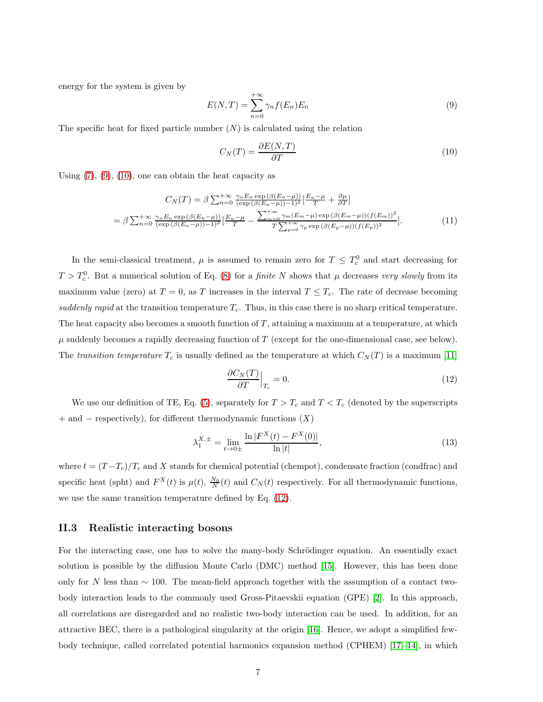energy for the system is given by

<span id="page-6-0"></span>
$$
E(N,T) = \sum_{n=0}^{+\infty} \gamma_n f(E_n) E_n
$$
\n(9)

The specific heat for fixed particle number  $(N)$  is calculated using the relation

<span id="page-6-1"></span>
$$
C_N(T) = \frac{\partial E(N, T)}{\partial T} \tag{10}
$$

Using  $(7)$ ,  $(9)$ ,  $(10)$ , one can obtain the heat capacity as

<span id="page-6-3"></span>
$$
C_N(T) = \beta \sum_{n=0}^{+\infty} \frac{\gamma_n E_n \exp\left(\beta(E_n - \mu)\right)}{(\exp\left(\beta(E_n - \mu)\right) - 1)^2} \left[\frac{E_n - \mu}{T} + \frac{\partial \mu}{\partial T}\right]
$$

$$
= \beta \sum_{n=0}^{+\infty} \frac{\gamma_n E_n \exp\left(\beta(E_n - \mu)\right)}{(\exp\left(\beta(E_n - \mu)\right) - 1)^2} \left[\frac{E_n - \mu}{T} - \frac{\sum_{m=0}^{+\infty} \gamma_m (E_m - \mu) \exp\left(\beta(E_m - \mu)\right) (f(E_m))^2}{T \sum_{p=0}^{+\infty} \gamma_p \exp\left(\beta(E_p - \mu)\right) (f(E_p))^2}\right].
$$
(11)

In the semi-classical treatment,  $\mu$  is assumed to remain zero for  $T \leq T_c^0$  and start decreasing for  $T > T_c^0$ . But a numerical solution of Eq. [\(8\)](#page-5-1) for a *finite* N shows that  $\mu$  decreases very slowly from its maximum value (zero) at  $T = 0$ , as T increases in the interval  $T \leq T_c$ . The rate of decrease becoming suddenly rapid at the transition temperature  $T_c$ . Thus, in this case there is no sharp critical temperature. The heat capacity also becomes a smooth function of  $T$ , attaining a maximum at a temperature, at which  $\mu$  suddenly becomes a rapidly decreasing function of T (except for the one-dimensional case, see below). The transition temperature  $T_c$  is usually defined as the temperature at which  $C_N(T)$  is a maximum [\[11\]](#page-18-10)

<span id="page-6-2"></span>
$$
\left. \frac{\partial C_N(T)}{\partial T} \right|_{T_c} = 0. \tag{12}
$$

We use our definition of TE, Eq. [\(5\)](#page-4-0), separately for  $T > T_c$  and  $T < T_c$  (denoted by the superscripts  $+$  and  $-$  respectively), for different thermodynamic functions  $(X)$ 

$$
\lambda_1^{X,\pm} = \lim_{t \to 0\pm} \frac{\ln |F^X(t) - F^X(0)|}{\ln |t|},\tag{13}
$$

where  $t = (T - T_c)/T_c$  and X stands for chemical potential (chempot), condensate fraction (condfrac) and specific heat (spht) and  $F^X(t)$  is  $\mu(t)$ ,  $\frac{N_0}{N}(t)$  and  $C_N(t)$  respectively. For all thermodynamic functions, we use the same transition temperature defined by Eq. [\(12\)](#page-6-2).

#### II.3 Realistic interacting bosons

For the interacting case, one has to solve the many-body Schrödinger equation. An essentially exact solution is possible by the diffusion Monte Carlo (DMC) method [\[15\]](#page-18-14). However, this has been done only for N less than  $\sim$  100. The mean-field approach together with the assumption of a contact twobody interaction leads to the commonly used Gross-Pitaevskii equation (GPE) [\[2\]](#page-18-1). In this approach, all correlations are disregarded and no realistic two-body interaction can be used. In addition, for an attractive BEC, there is a pathological singularity at the origin [\[16\]](#page-18-15). Hence, we adopt a simplified fewbody technique, called correlated potential harmonics expansion method (CPHEM) [\[17,](#page-18-16) [14\]](#page-18-13), in which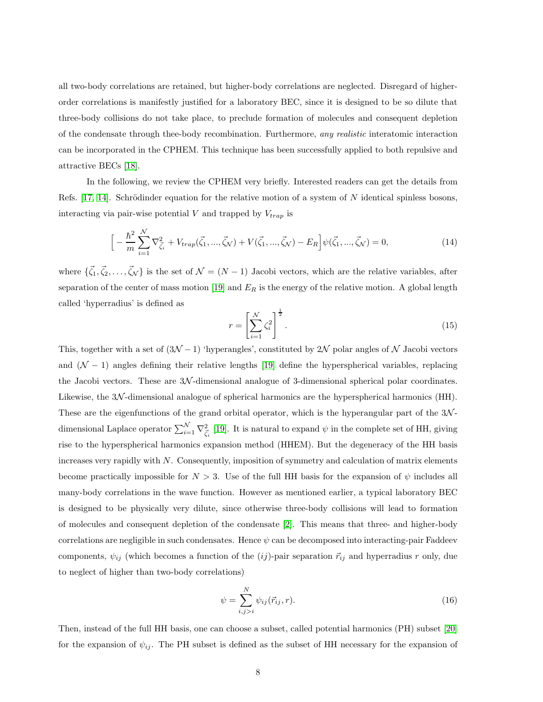all two-body correlations are retained, but higher-body correlations are neglected. Disregard of higherorder correlations is manifestly justified for a laboratory BEC, since it is designed to be so dilute that three-body collisions do not take place, to preclude formation of molecules and consequent depletion of the condensate through thee-body recombination. Furthermore, any realistic interatomic interaction can be incorporated in the CPHEM. This technique has been successfully applied to both repulsive and attractive BECs [\[18\]](#page-18-17).

In the following, we review the CPHEM very briefly. Interested readers can get the details from Refs. [\[17,](#page-18-16) [14\]](#page-18-13). Schrödinder equation for the relative motion of a system of N identical spinless bosons, interacting via pair-wise potential V and trapped by  $V_{trap}$  is

$$
\[ -\frac{\hbar^2}{m} \sum_{i=1}^{N} \nabla_{\vec{\zeta}_i}^2 + V_{trap}(\vec{\zeta}_1, ..., \vec{\zeta}_N) + V(\vec{\zeta}_1, ..., \vec{\zeta}_N) - E_R \] \psi(\vec{\zeta}_1, ..., \vec{\zeta}_N) = 0, \tag{14}
$$

where  $\{\vec{\zeta}_1, \vec{\zeta}_2, \ldots, \vec{\zeta}_N\}$  is the set of  $\mathcal{N} = (N-1)$  Jacobi vectors, which are the relative variables, after separation of the center of mass motion [\[19\]](#page-19-0) and  $E_R$  is the energy of the relative motion. A global length called 'hyperradius' is defined as

$$
r = \left[\sum_{i=1}^{N} \zeta_i^2\right]^{\frac{1}{2}}.\tag{15}
$$

This, together with a set of  $(3\mathcal{N} - 1)$  'hyperangles', constituted by 2N polar angles of N Jacobi vectors and  $(N - 1)$  angles defining their relative lengths [\[19\]](#page-19-0) define the hyperspherical variables, replacing the Jacobi vectors. These are 3N -dimensional analogue of 3-dimensional spherical polar coordinates. Likewise, the 3N -dimensional analogue of spherical harmonics are the hyperspherical harmonics (HH). These are the eigenfunctions of the grand orbital operator, which is the hyperangular part of the  $3\mathcal{N}$ dimensional Laplace operator  $\sum_{i=1}^{N} \nabla_{\vec{\zeta}_i}^2$  [\[19\]](#page-19-0). It is natural to expand  $\psi$  in the complete set of HH, giving rise to the hyperspherical harmonics expansion method (HHEM). But the degeneracy of the HH basis increases very rapidly with  $N$ . Consequently, imposition of symmetry and calculation of matrix elements become practically impossible for  $N > 3$ . Use of the full HH basis for the expansion of  $\psi$  includes all many-body correlations in the wave function. However as mentioned earlier, a typical laboratory BEC is designed to be physically very dilute, since otherwise three-body collisions will lead to formation of molecules and consequent depletion of the condensate [\[2\]](#page-18-1). This means that three- and higher-body correlations are negligible in such condensates. Hence  $\psi$  can be decomposed into interacting-pair Faddeev components,  $\psi_{ij}$  (which becomes a function of the  $(ij)$ -pair separation  $\vec{r}_{ij}$  and hyperradius r only, due to neglect of higher than two-body correlations)

$$
\psi = \sum_{i,j>i}^{N} \psi_{ij}(\vec{r}_{ij},r). \tag{16}
$$

Then, instead of the full HH basis, one can choose a subset, called potential harmonics (PH) subset [\[20\]](#page-19-1) for the expansion of  $\psi_{ij}$ . The PH subset is defined as the subset of HH necessary for the expansion of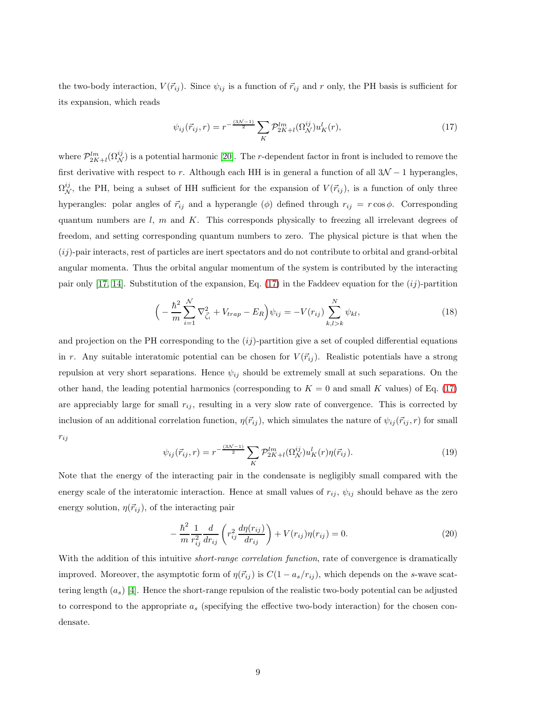the two-body interaction,  $V(\vec{r}_{ij})$ . Since  $\psi_{ij}$  is a function of  $\vec{r}_{ij}$  and r only, the PH basis is sufficient for its expansion, which reads

<span id="page-8-0"></span>
$$
\psi_{ij}(\vec{r}_{ij},r) = r^{-\frac{(3\mathcal{N}-1)}{2}} \sum_{K} \mathcal{P}_{2K+l}^{lm}(\Omega_{\mathcal{N}}^{ij}) u_K^l(r),\tag{17}
$$

where  $\mathcal{P}_{2K+l}^{lm}(\Omega^{ij}_{\mathcal{N}})$  is a potential harmonic [\[20\]](#page-19-1). The r-dependent factor in front is included to remove the first derivative with respect to r. Although each HH is in general a function of all  $3\mathcal{N} - 1$  hyperangles,  $\Omega_N^{ij}$ , the PH, being a subset of HH sufficient for the expansion of  $V(\vec{r}_{ij})$ , is a function of only three hyperangles: polar angles of  $\vec{r}_{ij}$  and a hyperangle ( $\phi$ ) defined through  $r_{ij} = r \cos \phi$ . Corresponding quantum numbers are  $l, m$  and  $K$ . This corresponds physically to freezing all irrelevant degrees of freedom, and setting corresponding quantum numbers to zero. The physical picture is that when the  $(ij)$ -pair interacts, rest of particles are inert spectators and do not contribute to orbital and grand-orbital angular momenta. Thus the orbital angular momentum of the system is contributed by the interacting pair only [\[17,](#page-18-16) [14\]](#page-18-13). Substitution of the expansion, Eq. [\(17\)](#page-8-0) in the Faddeev equation for the  $(ij)$ -partition

<span id="page-8-2"></span>
$$
\left(-\frac{\hbar^2}{m}\sum_{i=1}^N \nabla_{\vec{\zeta}_i}^2 + V_{trap} - E_R\right)\psi_{ij} = -V(r_{ij})\sum_{k,l>k}^N \psi_{kl},\tag{18}
$$

and projection on the PH corresponding to the  $(ij)$ -partition give a set of coupled differential equations in r. Any suitable interatomic potential can be chosen for  $V(\vec{r}_{ij})$ . Realistic potentials have a strong repulsion at very short separations. Hence  $\psi_{ij}$  should be extremely small at such separations. On the other hand, the leading potential harmonics (corresponding to  $K = 0$  and small K values) of Eq. [\(17\)](#page-8-0) are appreciably large for small  $r_{ij}$ , resulting in a very slow rate of convergence. This is corrected by inclusion of an additional correlation function,  $\eta(\vec{r}_{ij})$ , which simulates the nature of  $\psi_{ij}(\vec{r}_{ij}, r)$  for small  $r_{ij}$ 

<span id="page-8-1"></span>
$$
\psi_{ij}(\vec{r}_{ij},r) = r^{-\frac{(3\mathcal{N}-1)}{2}} \sum_{K} \mathcal{P}_{2K+l}^{lm}(\Omega_{\mathcal{N}}^{ij}) u_K^l(r) \eta(\vec{r}_{ij}). \tag{19}
$$

Note that the energy of the interacting pair in the condensate is negligibly small compared with the energy scale of the interatomic interaction. Hence at small values of  $r_{ij}$ ,  $\psi_{ij}$  should behave as the zero energy solution,  $\eta(\vec{r}_{ij})$ , of the interacting pair

<span id="page-8-3"></span>
$$
-\frac{\hbar^2}{m} \frac{1}{r_{ij}^2} \frac{d}{dr_{ij}} \left( r_{ij}^2 \frac{d\eta(r_{ij})}{dr_{ij}} \right) + V(r_{ij})\eta(r_{ij}) = 0.
$$
 (20)

With the addition of this intuitive *short-range correlation function*, rate of convergence is dramatically improved. Moreover, the asymptotic form of  $\eta(\vec{r}_{ij})$  is  $C(1 - a_s/r_{ij})$ , which depends on the s-wave scattering length  $(a_s)$  [\[4\]](#page-18-6). Hence the short-range repulsion of the realistic two-body potential can be adjusted to correspond to the appropriate  $a<sub>s</sub>$  (specifying the effective two-body interaction) for the chosen condensate.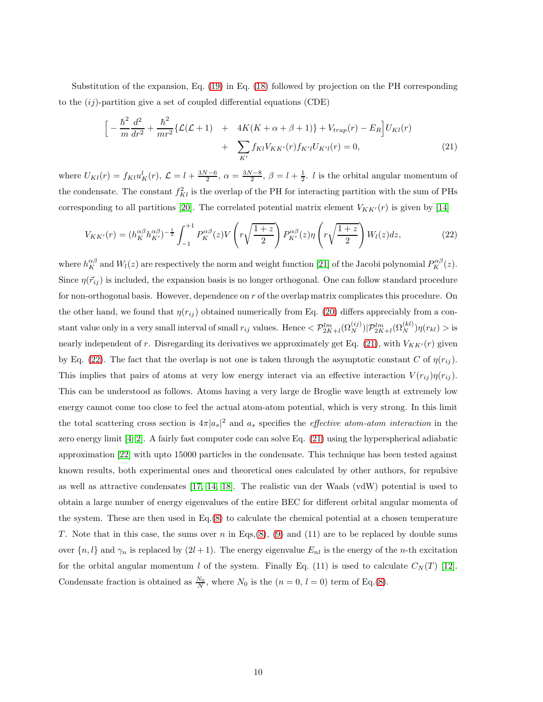Substitution of the expansion, Eq. [\(19\)](#page-8-1) in Eq. [\(18\)](#page-8-2) followed by projection on the PH corresponding to the  $(ij)$ -partition give a set of coupled differential equations (CDE)

<span id="page-9-0"></span>
$$
\left[ -\frac{\hbar^2}{m} \frac{d^2}{dr^2} + \frac{\hbar^2}{mr^2} \{ \mathcal{L}(\mathcal{L} + 1) + 4K(K + \alpha + \beta + 1) \} + V_{trap}(r) - E_R \right] U_{Kl}(r) + \sum_{K'} f_{Kl} V_{KK'}(r) f_{K'l} U_{K'l}(r) = 0, \tag{21}
$$

where  $U_{Kl}(r) = f_{Kl}u_K^l(r)$ ,  $\mathcal{L} = l + \frac{3N-6}{2}$ ,  $\alpha = \frac{3N-8}{2}$ ,  $\beta = l + \frac{1}{2}$ . *l* is the orbital angular momentum of the condensate. The constant  $f_{Kl}^2$  is the overlap of the PH for interacting partition with the sum of PHs corresponding to all partitions [\[20\]](#page-19-1). The correlated potential matrix element  $V_{KK'}(r)$  is given by [\[14\]](#page-18-13)

<span id="page-9-1"></span>
$$
V_{KK'}(r) = (h_K^{\alpha\beta} h_{K'}^{\alpha\beta})^{-\frac{1}{2}} \int_{-1}^{+1} P_K^{\alpha\beta}(z) V\left(r\sqrt{\frac{1+z}{2}}\right) P_{K'}^{\alpha\beta}(z) \eta\left(r\sqrt{\frac{1+z}{2}}\right) W_l(z) dz,
$$
\n(22)

where  $h_K^{\alpha\beta}$  and  $W_l(z)$  are respectively the norm and weight function [\[21\]](#page-19-2) of the Jacobi polynomial  $P_K^{\alpha\beta}(z)$ . Since  $\eta(\vec{r}_{ij})$  is included, the expansion basis is no longer orthogonal. One can follow standard procedure for non-orthogonal basis. However, dependence on r of the overlap matrix complicates this procedure. On the other hand, we found that  $\eta(r_{ij})$  obtained numerically from Eq. [\(20\)](#page-8-3) differs appreciably from a constant value only in a very small interval of small  $r_{ij}$  values. Hence  $\langle \mathcal{P}_{2K+l}^{lm}(\Omega_N^{(ij)}) | \mathcal{P}_{2K+l}^{lm}(\Omega_N^{(kl)}) \eta(r_{kl}) >$  is nearly independent of r. Disregarding its derivatives we approximately get Eq. [\(21\)](#page-9-0), with  $V_{KK'}(r)$  given by Eq. [\(22\)](#page-9-1). The fact that the overlap is not one is taken through the asymptotic constant C of  $\eta(r_{ij})$ . This implies that pairs of atoms at very low energy interact via an effective interaction  $V(r_{ij})\eta(r_{ij})$ . This can be understood as follows. Atoms having a very large de Broglie wave length at extremely low energy cannot come too close to feel the actual atom-atom potential, which is very strong. In this limit the total scattering cross section is  $4\pi |a_s|^2$  and  $a_s$  specifies the *effective atom-atom interaction* in the zero energy limit [\[4,](#page-18-6) [2\]](#page-18-1). A fairly fast computer code can solve Eq. [\(21\)](#page-9-0) using the hyperspherical adiabatic approximation [\[22\]](#page-19-3) with upto 15000 particles in the condensate. This technique has been tested against known results, both experimental ones and theoretical ones calculated by other authors, for repulsive as well as attractive condensates [\[17,](#page-18-16) [14,](#page-18-13) [18\]](#page-18-17). The realistic van der Waals (vdW) potential is used to obtain a large number of energy eigenvalues of the entire BEC for different orbital angular momenta of the system. These are then used in Eq.[\(8\)](#page-5-1) to calculate the chemical potential at a chosen temperature T. Note that in this case, the sums over n in Eqs.[\(8\)](#page-5-1), [\(9\)](#page-6-0) and (11) are to be replaced by double sums over  $\{n, l\}$  and  $\gamma_n$  is replaced by  $(2l + 1)$ . The energy eigenvalue  $E_{nl}$  is the energy of the *n*-th excitation for the orbital angular momentum l of the system. Finally Eq. (11) is used to calculate  $C<sub>N</sub>(T)$  [\[12\]](#page-18-11). Condensate fraction is obtained as  $\frac{N_0}{N}$ , where  $N_0$  is the  $(n = 0, l = 0)$  term of Eq.[\(8\)](#page-5-1).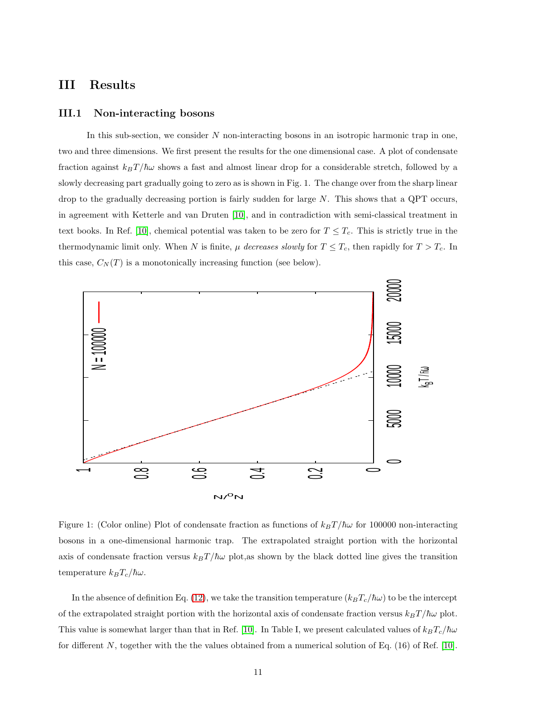### III Results

#### III.1 Non-interacting bosons

In this sub-section, we consider  $N$  non-interacting bosons in an isotropic harmonic trap in one, two and three dimensions. We first present the results for the one dimensional case. A plot of condensate fraction against  $k_BT/\hbar\omega$  shows a fast and almost linear drop for a considerable stretch, followed by a slowly decreasing part gradually going to zero as is shown in Fig. 1. The change over from the sharp linear drop to the gradually decreasing portion is fairly sudden for large  $N$ . This shows that a QPT occurs, in agreement with Ketterle and van Druten [\[10\]](#page-18-4), and in contradiction with semi-classical treatment in text books. In Ref. [\[10\]](#page-18-4), chemical potential was taken to be zero for  $T \leq T_c$ . This is strictly true in the thermodynamic limit only. When N is finite,  $\mu$  decreases slowly for  $T \leq T_c$ , then rapidly for  $T > T_c$ . In this case,  $C_N(T)$  is a monotonically increasing function (see below).



Figure 1: (Color online) Plot of condensate fraction as functions of  $k_BT/\hbar\omega$  for 100000 non-interacting bosons in a one-dimensional harmonic trap. The extrapolated straight portion with the horizontal axis of condensate fraction versus  $k_BT/\hbar\omega$  plot, as shown by the black dotted line gives the transition temperature  $k_BT_c/\hbar\omega$ .

In the absence of definition Eq. [\(12\)](#page-6-2), we take the transition temperature  $(k_BT_c/\hbar\omega)$  to be the intercept of the extrapolated straight portion with the horizontal axis of condensate fraction versus  $k_BT/\hbar\omega$  plot. This value is somewhat larger than that in Ref. [\[10\]](#page-18-4). In Table I, we present calculated values of  $k_B T_c/\hbar\omega$ for different N, together with the the values obtained from a numerical solution of Eq.  $(16)$  of Ref.  $[10]$ .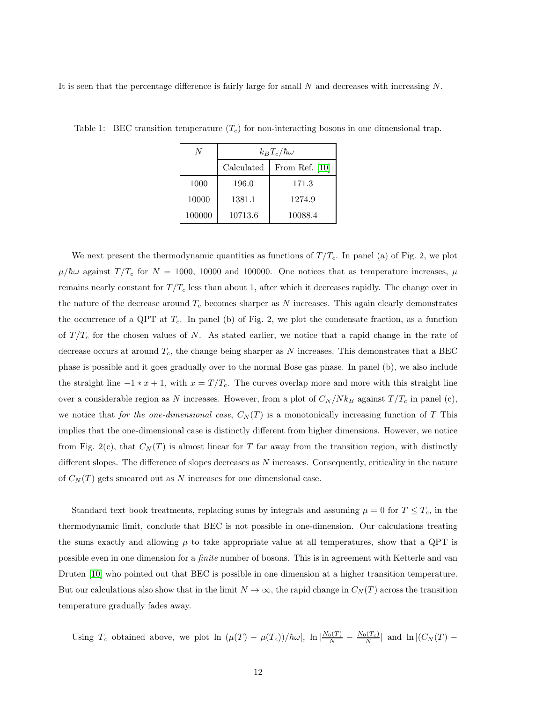It is seen that the percentage difference is fairly large for small  $N$  and decreases with increasing  $N$ .

| <sup>N</sup> | $k_B T_c/\hbar\omega$ |                  |  |  |  |  |  |
|--------------|-----------------------|------------------|--|--|--|--|--|
|              | Calculated            | From Ref. $[10]$ |  |  |  |  |  |
| 1000         | 196.0                 | 171.3            |  |  |  |  |  |
| 10000        | 1381.1                | 1274.9           |  |  |  |  |  |
| 100000       | 10713.6               | 10088.4          |  |  |  |  |  |

Table 1: BEC transition temperature  $(T_c)$  for non-interacting bosons in one dimensional trap.

We next present the thermodynamic quantities as functions of  $T/T_c$ . In panel (a) of Fig. 2, we plot  $\mu/\hbar\omega$  against  $T/T_c$  for  $N = 1000$ , 10000 and 100000. One notices that as temperature increases,  $\mu$ remains nearly constant for  $T/T_c$  less than about 1, after which it decreases rapidly. The change over in the nature of the decrease around  $T_c$  becomes sharper as N increases. This again clearly demonstrates the occurrence of a QPT at  $T_c$ . In panel (b) of Fig. 2, we plot the condensate fraction, as a function of  $T/T_c$  for the chosen values of N. As stated earlier, we notice that a rapid change in the rate of decrease occurs at around  $T_c$ , the change being sharper as N increases. This demonstrates that a BEC phase is possible and it goes gradually over to the normal Bose gas phase. In panel (b), we also include the straight line  $-1 * x + 1$ , with  $x = T/T_c$ . The curves overlap more and more with this straight line over a considerable region as N increases. However, from a plot of  $C_N/Nk_B$  against  $T/T_c$  in panel (c), we notice that for the one-dimensional case,  $C_N(T)$  is a monotonically increasing function of T This implies that the one-dimensional case is distinctly different from higher dimensions. However, we notice from Fig. 2(c), that  $C_N(T)$  is almost linear for T far away from the transition region, with distinctly different slopes. The difference of slopes decreases as  $N$  increases. Consequently, criticality in the nature of  $C<sub>N</sub>(T)$  gets smeared out as N increases for one dimensional case.

Standard text book treatments, replacing sums by integrals and assuming  $\mu = 0$  for  $T \leq T_c$ , in the thermodynamic limit, conclude that BEC is not possible in one-dimension. Our calculations treating the sums exactly and allowing  $\mu$  to take appropriate value at all temperatures, show that a QPT is possible even in one dimension for a finite number of bosons. This is in agreement with Ketterle and van Druten [\[10\]](#page-18-4) who pointed out that BEC is possible in one dimension at a higher transition temperature. But our calculations also show that in the limit  $N \to \infty$ , the rapid change in  $C<sub>N</sub>(T)$  across the transition temperature gradually fades away.

Using  $T_c$  obtained above, we plot  $\ln |(\mu(T) - \mu(T_c))/\hbar\omega|$ ,  $\ln |\frac{N_0(T)}{N} - \frac{N_0(T_c)}{N}|$  and  $\ln |(C_N(T) - \mu(T_c))/\hbar\omega|$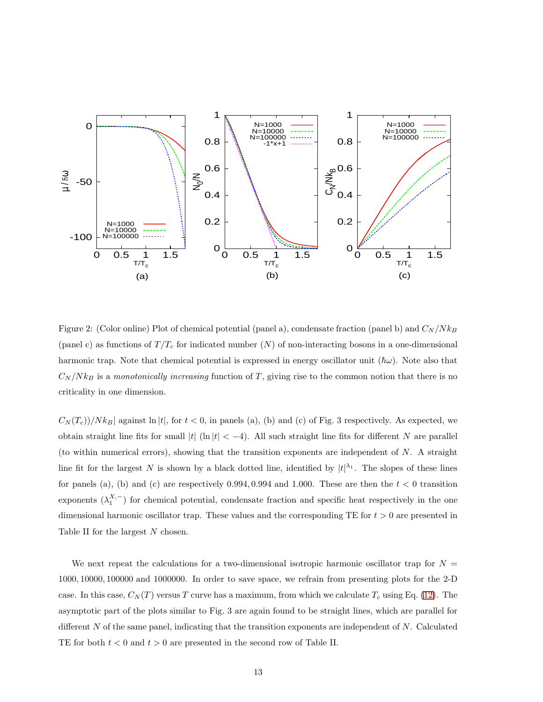

Figure 2: (Color online) Plot of chemical potential (panel a), condensate fraction (panel b) and  $C_N/Nk_B$ (panel c) as functions of  $T/T_c$  for indicated number (N) of non-interacting bosons in a one-dimensional harmonic trap. Note that chemical potential is expressed in energy oscillator unit  $(\hbar\omega)$ . Note also that  $C_N/N k_B$  is a monotonically increasing function of T, giving rise to the common notion that there is no criticality in one dimension.

 $C_N(T_c)/N k_B$  against ln |t|, for  $t < 0$ , in panels (a), (b) and (c) of Fig. 3 respectively. As expected, we obtain straight line fits for small  $|t|$  (ln  $|t| < -4$ ). All such straight line fits for different N are parallel (to within numerical errors), showing that the transition exponents are independent of  $N$ . A straight line fit for the largest N is shown by a black dotted line, identified by  $|t|^{\lambda_1}$ . The slopes of these lines for panels (a), (b) and (c) are respectively 0.994, 0.994 and 1.000. These are then the  $t < 0$  transition exponents  $(\lambda_1^{X,-})$  for chemical potential, condensate fraction and specific heat respectively in the one dimensional harmonic oscillator trap. These values and the corresponding TE for  $t > 0$  are presented in Table II for the largest N chosen.

We next repeat the calculations for a two-dimensional isotropic harmonic oscillator trap for  $N =$ 1000, 10000, 100000 and 1000000. In order to save space, we refrain from presenting plots for the 2-D case. In this case,  $C_N(T)$  versus T curve has a maximum, from which we calculate  $T_c$  using Eq. [\(12\)](#page-6-2). The asymptotic part of the plots similar to Fig. 3 are again found to be straight lines, which are parallel for different  $N$  of the same panel, indicating that the transition exponents are independent of  $N$ . Calculated TE for both  $t < 0$  and  $t > 0$  are presented in the second row of Table II.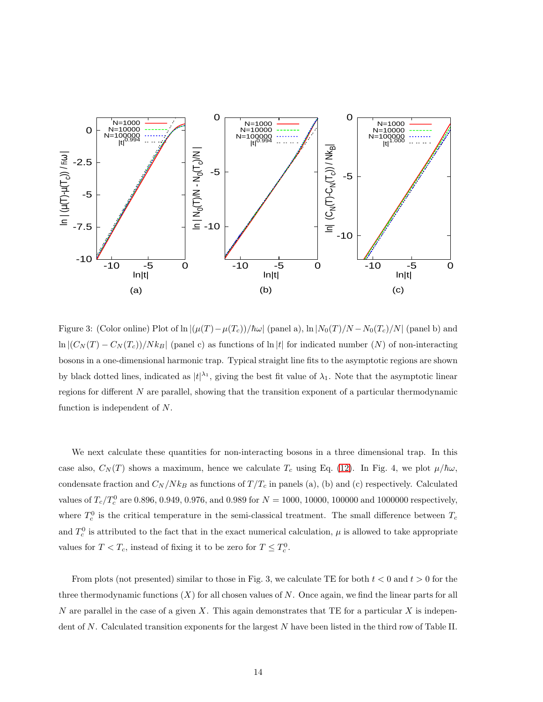

Figure 3: (Color online) Plot of ln  $|(\mu(T) - \mu(T_c))/\hbar\omega|$  (panel a), ln  $|N_0(T)/N - N_0(T_c)/N|$  (panel b) and  $\ln |(C_N(T) - C_N(T_c))/Nk_B|$  (panel c) as functions of  $\ln |t|$  for indicated number  $(N)$  of non-interacting bosons in a one-dimensional harmonic trap. Typical straight line fits to the asymptotic regions are shown by black dotted lines, indicated as  $|t|^{\lambda_1}$ , giving the best fit value of  $\lambda_1$ . Note that the asymptotic linear regions for different N are parallel, showing that the transition exponent of a particular thermodynamic function is independent of N.

We next calculate these quantities for non-interacting bosons in a three dimensional trap. In this case also,  $C_N(T)$  shows a maximum, hence we calculate  $T_c$  using Eq. [\(12\)](#page-6-2). In Fig. 4, we plot  $\mu/\hbar\omega$ , condensate fraction and  $C_N / N k_B$  as functions of  $T / T_c$  in panels (a), (b) and (c) respectively. Calculated values of  $T_c/T_c^0$  are 0.896, 0.949, 0.976, and 0.989 for  $N = 1000$ , 10000, 100000 and 1000000 respectively, where  $T_c^0$  is the critical temperature in the semi-classical treatment. The small difference between  $T_c$ and  $T_c^0$  is attributed to the fact that in the exact numerical calculation,  $\mu$  is allowed to take appropriate values for  $T < T_c$ , instead of fixing it to be zero for  $T \le T_c^0$ .

From plots (not presented) similar to those in Fig. 3, we calculate TE for both  $t < 0$  and  $t > 0$  for the three thermodynamic functions  $(X)$  for all chosen values of N. Once again, we find the linear parts for all N are parallel in the case of a given X. This again demonstrates that TE for a particular X is independent of N. Calculated transition exponents for the largest N have been listed in the third row of Table II.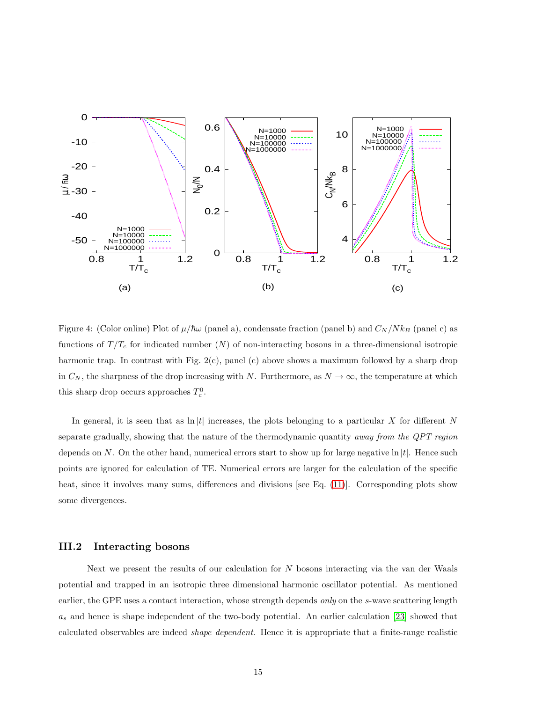

Figure 4: (Color online) Plot of  $\mu/\hbar\omega$  (panel a), condensate fraction (panel b) and  $C_N/Nk_B$  (panel c) as functions of  $T/T_c$  for indicated number (N) of non-interacting bosons in a three-dimensional isotropic harmonic trap. In contrast with Fig. 2(c), panel (c) above shows a maximum followed by a sharp drop in  $C_N$ , the sharpness of the drop increasing with N. Furthermore, as  $N \to \infty$ , the temperature at which this sharp drop occurs approaches  $T_c^0$ .

In general, it is seen that as  $\ln |t|$  increases, the plots belonging to a particular X for different N separate gradually, showing that the nature of the thermodynamic quantity *away from the QPT region* depends on N. On the other hand, numerical errors start to show up for large negative  $\ln |t|$ . Hence such points are ignored for calculation of TE. Numerical errors are larger for the calculation of the specific heat, since it involves many sums, differences and divisions [see Eq. [\(11\)](#page-6-3)]. Corresponding plots show some divergences.

### III.2 Interacting bosons

Next we present the results of our calculation for  $N$  bosons interacting via the van der Waals potential and trapped in an isotropic three dimensional harmonic oscillator potential. As mentioned earlier, the GPE uses a contact interaction, whose strength depends only on the s-wave scattering length  $a_s$  and hence is shape independent of the two-body potential. An earlier calculation [\[23\]](#page-19-4) showed that calculated observables are indeed shape dependent. Hence it is appropriate that a finite-range realistic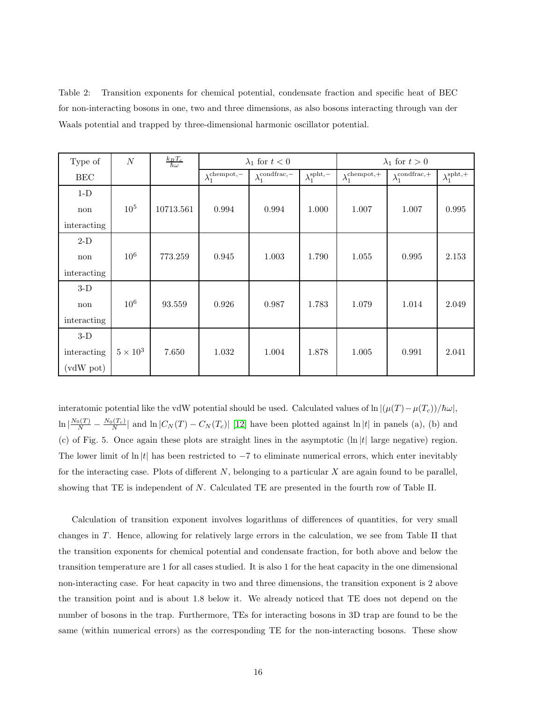Table 2: Transition exponents for chemical potential, condensate fraction and specific heat of BEC for non-interacting bosons in one, two and three dimensions, as also bosons interacting through van der Waals potential and trapped by three-dimensional harmonic oscillator potential.

| Type of     | $\cal N$        | $\frac{k_B T_c}{\hbar \omega}$ | $\lambda_1$ for $t < 0$        |                              |                             | $\lambda_1$ for $t > 0$          |                              |                             |
|-------------|-----------------|--------------------------------|--------------------------------|------------------------------|-----------------------------|----------------------------------|------------------------------|-----------------------------|
| <b>BEC</b>  |                 |                                | $\lambda_1^{\text{chempot},-}$ | $\lambda_1^{\rm condfrac,-}$ | $\lambda_1^{\text{spht},-}$ | $\lambda_1^{\mathrm{chempot},+}$ | $\lambda_1^{\rm condfrac,+}$ | $\lambda_1^{\text{spht},+}$ |
| $1-D$       |                 |                                |                                |                              |                             |                                  |                              |                             |
| non         | 10 <sup>5</sup> | 10713.561                      | 0.994                          | 0.994                        | 1.000                       | 1.007                            | 1.007                        | 0.995                       |
| interacting |                 |                                |                                |                              |                             |                                  |                              |                             |
| $2-D$       |                 |                                |                                |                              |                             |                                  |                              |                             |
| non         | 10 <sup>6</sup> | 773.259                        | 0.945                          | 1.003                        | 1.790                       | 1.055                            | 0.995                        | 2.153                       |
| interacting |                 |                                |                                |                              |                             |                                  |                              |                             |
| $3-D$       |                 |                                |                                |                              |                             |                                  |                              |                             |
| non         | $10^6$          | 93.559                         | 0.926                          | 0.987                        | 1.783                       | 1.079                            | 1.014                        | 2.049                       |
| interacting |                 |                                |                                |                              |                             |                                  |                              |                             |
| $3-D$       |                 |                                |                                |                              |                             |                                  |                              |                             |
| interacting | $5\times10^3$   | 7.650                          | 1.032                          | 1.004                        | 1.878                       | 1.005                            | 0.991                        | 2.041                       |
| (vdW pot)   |                 |                                |                                |                              |                             |                                  |                              |                             |

interatomic potential like the vdW potential should be used. Calculated values of  $\ln |(\mu(T) - \mu(T_c))/\hbar\omega|$ ,  $\ln \left| \frac{N_0(T)}{N} - \frac{N_0(T_c)}{N} \right|$  and  $\ln |C_N(T) - C_N(T_c)|$  [\[12\]](#page-18-11) have been plotted against  $\ln |t|$  in panels (a), (b) and (c) of Fig. 5. Once again these plots are straight lines in the asymptotic  $(\ln |t|)$  large negative) region. The lower limit of ln  $|t|$  has been restricted to  $-7$  to eliminate numerical errors, which enter inevitably for the interacting case. Plots of different  $N$ , belonging to a particular  $X$  are again found to be parallel, showing that TE is independent of N. Calculated TE are presented in the fourth row of Table II.

Calculation of transition exponent involves logarithms of differences of quantities, for very small changes in T . Hence, allowing for relatively large errors in the calculation, we see from Table II that the transition exponents for chemical potential and condensate fraction, for both above and below the transition temperature are 1 for all cases studied. It is also 1 for the heat capacity in the one dimensional non-interacting case. For heat capacity in two and three dimensions, the transition exponent is 2 above the transition point and is about 1.8 below it. We already noticed that TE does not depend on the number of bosons in the trap. Furthermore, TEs for interacting bosons in 3D trap are found to be the same (within numerical errors) as the corresponding TE for the non-interacting bosons. These show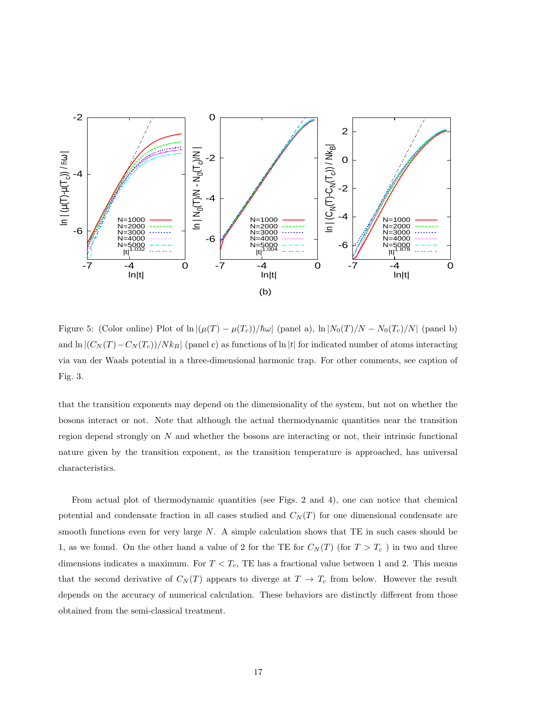

Figure 5: (Color online) Plot of  $\ln |(\mu(T) - \mu(T_c))/\hbar\omega|$  (panel a),  $\ln |N_0(T)/N - N_0(T_c)/N|$  (panel b) and  $\ln |(C_N(T) - C_N(T_c))/N k_B|$  (panel c) as functions of  $\ln |t|$  for indicated number of atoms interacting via van der Waals potential in a three-dimensional harmonic trap. For other comments, see caption of Fig. 3.

that the transition exponents may depend on the dimensionality of the system, but not on whether the bosons interact or not. Note that although the actual thermodynamic quantities near the transition region depend strongly on  $N$  and whether the bosons are interacting or not, their intrinsic functional nature given by the transition exponent, as the transition temperature is approached, has universal characteristics.

From actual plot of thermodynamic quantities (see Figs. 2 and 4), one can notice that chemical potential and condensate fraction in all cases studied and  $C<sub>N</sub>(T)$  for one dimensional condensate are smooth functions even for very large  $N$ . A simple calculation shows that TE in such cases should be 1, as we found. On the other hand a value of 2 for the TE for  $C<sub>N</sub>(T)$  (for  $T > T<sub>c</sub>$ ) in two and three dimensions indicates a maximum. For  $T < T_c$ , TE has a fractional value between 1 and 2. This means that the second derivative of  $C_N(T)$  appears to diverge at  $T \to T_c$  from below. However the result depends on the accuracy of numerical calculation. These behaviors are distinctly different from those obtained from the semi-classical treatment.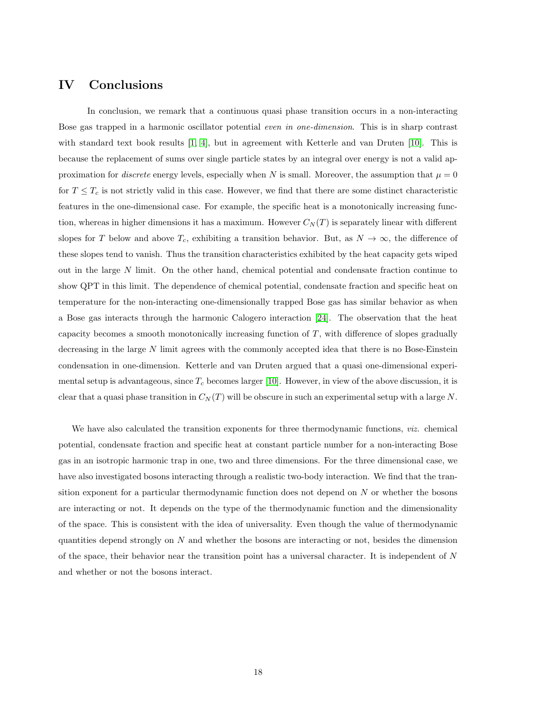## IV Conclusions

In conclusion, we remark that a continuous quasi phase transition occurs in a non-interacting Bose gas trapped in a harmonic oscillator potential even in one-dimension. This is in sharp contrast with standard text book results [\[1,](#page-18-0) [4\]](#page-18-6), but in agreement with Ketterle and van Druten [\[10\]](#page-18-4). This is because the replacement of sums over single particle states by an integral over energy is not a valid approximation for *discrete* energy levels, especially when N is small. Moreover, the assumption that  $\mu = 0$ for  $T \leq T_c$  is not strictly valid in this case. However, we find that there are some distinct characteristic features in the one-dimensional case. For example, the specific heat is a monotonically increasing function, whereas in higher dimensions it has a maximum. However  $C<sub>N</sub>(T)$  is separately linear with different slopes for T below and above  $T_c$ , exhibiting a transition behavior. But, as  $N \to \infty$ , the difference of these slopes tend to vanish. Thus the transition characteristics exhibited by the heat capacity gets wiped out in the large N limit. On the other hand, chemical potential and condensate fraction continue to show QPT in this limit. The dependence of chemical potential, condensate fraction and specific heat on temperature for the non-interacting one-dimensionally trapped Bose gas has similar behavior as when a Bose gas interacts through the harmonic Calogero interaction [\[24\]](#page-19-5). The observation that the heat capacity becomes a smooth monotonically increasing function of  $T$ , with difference of slopes gradually decreasing in the large N limit agrees with the commonly accepted idea that there is no Bose-Einstein condensation in one-dimension. Ketterle and van Druten argued that a quasi one-dimensional experimental setup is advantageous, since  $T_c$  becomes larger [\[10\]](#page-18-4). However, in view of the above discussion, it is clear that a quasi phase transition in  $C<sub>N</sub>(T)$  will be obscure in such an experimental setup with a large N.

We have also calculated the transition exponents for three thermodynamic functions, *viz.* chemical potential, condensate fraction and specific heat at constant particle number for a non-interacting Bose gas in an isotropic harmonic trap in one, two and three dimensions. For the three dimensional case, we have also investigated bosons interacting through a realistic two-body interaction. We find that the transition exponent for a particular thermodynamic function does not depend on N or whether the bosons are interacting or not. It depends on the type of the thermodynamic function and the dimensionality of the space. This is consistent with the idea of universality. Even though the value of thermodynamic quantities depend strongly on  $N$  and whether the bosons are interacting or not, besides the dimension of the space, their behavior near the transition point has a universal character. It is independent of N and whether or not the bosons interact.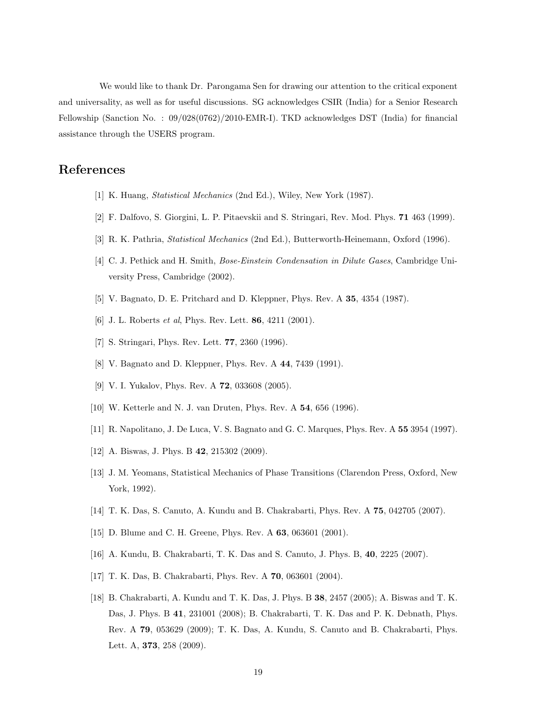We would like to thank Dr. Parongama Sen for drawing our attention to the critical exponent and universality, as well as for useful discussions. SG acknowledges CSIR (India) for a Senior Research Fellowship (Sanction No. : 09/028(0762)/2010-EMR-I). TKD acknowledges DST (India) for financial assistance through the USERS program.

# <span id="page-18-1"></span><span id="page-18-0"></span>References

- [1] K. Huang, Statistical Mechanics (2nd Ed.), Wiley, New York (1987).
- <span id="page-18-5"></span>[2] F. Dalfovo, S. Giorgini, L. P. Pitaevskii and S. Stringari, Rev. Mod. Phys. 71 463 (1999).
- <span id="page-18-6"></span>[3] R. K. Pathria, Statistical Mechanics (2nd Ed.), Butterworth-Heinemann, Oxford (1996).
- <span id="page-18-7"></span>[4] C. J. Pethick and H. Smith, Bose-Einstein Condensation in Dilute Gases, Cambridge University Press, Cambridge (2002).
- <span id="page-18-8"></span>[5] V. Bagnato, D. E. Pritchard and D. Kleppner, Phys. Rev. A 35, 4354 (1987).
- <span id="page-18-9"></span>[6] J. L. Roberts et al, Phys. Rev. Lett. 86, 4211 (2001).
- <span id="page-18-2"></span>[7] S. Stringari, Phys. Rev. Lett. 77, 2360 (1996).
- <span id="page-18-3"></span>[8] V. Bagnato and D. Kleppner, Phys. Rev. A 44, 7439 (1991).
- <span id="page-18-4"></span>[9] V. I. Yukalov, Phys. Rev. A 72, 033608 (2005).
- <span id="page-18-10"></span>[10] W. Ketterle and N. J. van Druten, Phys. Rev. A 54, 656 (1996).
- <span id="page-18-11"></span>[11] R. Napolitano, J. De Luca, V. S. Bagnato and G. C. Marques, Phys. Rev. A 55 3954 (1997).
- <span id="page-18-12"></span>[12] A. Biswas, J. Phys. B **42**, 215302 (2009).
- <span id="page-18-13"></span>[13] J. M. Yeomans, Statistical Mechanics of Phase Transitions (Clarendon Press, Oxford, New York, 1992).
- <span id="page-18-14"></span>[14] T. K. Das, S. Canuto, A. Kundu and B. Chakrabarti, Phys. Rev. A 75, 042705 (2007).
- <span id="page-18-15"></span>[15] D. Blume and C. H. Greene, Phys. Rev. A 63, 063601 (2001).
- <span id="page-18-16"></span>[16] A. Kundu, B. Chakrabarti, T. K. Das and S. Canuto, J. Phys. B, 40, 2225 (2007).
- <span id="page-18-17"></span>[17] T. K. Das, B. Chakrabarti, Phys. Rev. A 70, 063601 (2004).
- [18] B. Chakrabarti, A. Kundu and T. K. Das, J. Phys. B 38, 2457 (2005); A. Biswas and T. K. Das, J. Phys. B 41, 231001 (2008); B. Chakrabarti, T. K. Das and P. K. Debnath, Phys. Rev. A 79, 053629 (2009); T. K. Das, A. Kundu, S. Canuto and B. Chakrabarti, Phys. Lett. A, **373**, 258 (2009).